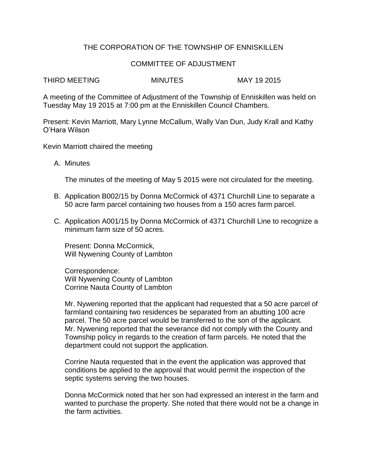## THE CORPORATION OF THE TOWNSHIP OF ENNISKILLEN

## COMMITTEE OF ADJUSTMENT

THIRD MEETING MINUTES MAY 19 2015

A meeting of the Committee of Adjustment of the Township of Enniskillen was held on Tuesday May 19 2015 at 7:00 pm at the Enniskillen Council Chambers.

Present: Kevin Marriott, Mary Lynne McCallum, Wally Van Dun, Judy Krall and Kathy O'Hara Wilson

Kevin Marriott chaired the meeting

A. Minutes

The minutes of the meeting of May 5 2015 were not circulated for the meeting.

- B. Application B002/15 by Donna McCormick of 4371 Churchill Line to separate a 50 acre farm parcel containing two houses from a 150 acres farm parcel.
- C. Application A001/15 by Donna McCormick of 4371 Churchill Line to recognize a minimum farm size of 50 acres.

Present: Donna McCormick, Will Nywening County of Lambton

Correspondence: Will Nywening County of Lambton Corrine Nauta County of Lambton

Mr. Nywening reported that the applicant had requested that a 50 acre parcel of farmland containing two residences be separated from an abutting 100 acre parcel. The 50 acre parcel would be transferred to the son of the applicant. Mr. Nywening reported that the severance did not comply with the County and Township policy in regards to the creation of farm parcels. He noted that the department could not support the application.

Corrine Nauta requested that in the event the application was approved that conditions be applied to the approval that would permit the inspection of the septic systems serving the two houses.

Donna McCormick noted that her son had expressed an interest in the farm and wanted to purchase the property. She noted that there would not be a change in the farm activities.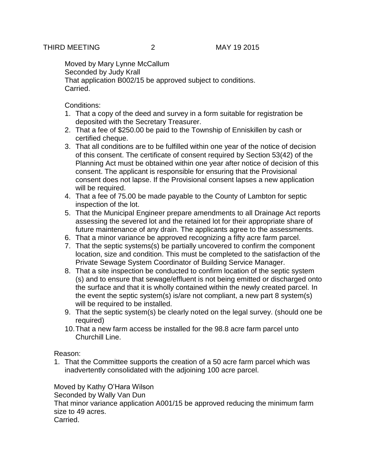Moved by Mary Lynne McCallum Seconded by Judy Krall That application B002/15 be approved subject to conditions. Carried.

Conditions:

- 1. That a copy of the deed and survey in a form suitable for registration be deposited with the Secretary Treasurer.
- 2. That a fee of \$250.00 be paid to the Township of Enniskillen by cash or certified cheque.
- 3. That all conditions are to be fulfilled within one year of the notice of decision of this consent. The certificate of consent required by Section 53(42) of the Planning Act must be obtained within one year after notice of decision of this consent. The applicant is responsible for ensuring that the Provisional consent does not lapse. If the Provisional consent lapses a new application will be required.
- 4. That a fee of 75.00 be made payable to the County of Lambton for septic inspection of the lot.
- 5. That the Municipal Engineer prepare amendments to all Drainage Act reports assessing the severed lot and the retained lot for their appropriate share of future maintenance of any drain. The applicants agree to the assessments.
- 6. That a minor variance be approved recognizing a fifty acre farm parcel.
- 7. That the septic systems(s) be partially uncovered to confirm the component location, size and condition. This must be completed to the satisfaction of the Private Sewage System Coordinator of Building Service Manager.
- 8. That a site inspection be conducted to confirm location of the septic system (s) and to ensure that sewage/effluent is not being emitted or discharged onto the surface and that it is wholly contained within the newly created parcel. In the event the septic system(s) is/are not compliant, a new part 8 system(s) will be required to be installed.
- 9. That the septic system(s) be clearly noted on the legal survey. (should one be required)
- 10.That a new farm access be installed for the 98.8 acre farm parcel unto Churchill Line.

## Reason:

1. That the Committee supports the creation of a 50 acre farm parcel which was inadvertently consolidated with the adjoining 100 acre parcel.

Moved by Kathy O'Hara Wilson

Seconded by Wally Van Dun

That minor variance application A001/15 be approved reducing the minimum farm size to 49 acres.

Carried.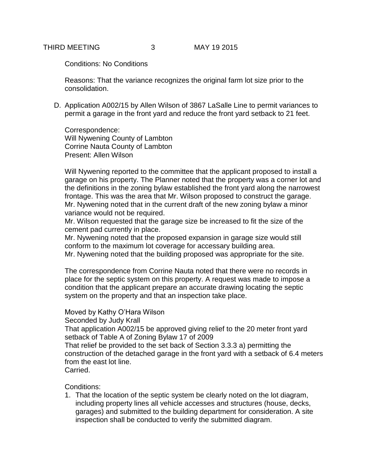Conditions: No Conditions

Reasons: That the variance recognizes the original farm lot size prior to the consolidation.

D. Application A002/15 by Allen Wilson of 3867 LaSalle Line to permit variances to permit a garage in the front yard and reduce the front yard setback to 21 feet.

Correspondence: Will Nywening County of Lambton Corrine Nauta County of Lambton Present: Allen Wilson

Will Nywening reported to the committee that the applicant proposed to install a garage on his property. The Planner noted that the property was a corner lot and the definitions in the zoning bylaw established the front yard along the narrowest frontage. This was the area that Mr. Wilson proposed to construct the garage. Mr. Nywening noted that in the current draft of the new zoning bylaw a minor variance would not be required.

Mr. Wilson requested that the garage size be increased to fit the size of the cement pad currently in place.

Mr. Nywening noted that the proposed expansion in garage size would still conform to the maximum lot coverage for accessary building area.

Mr. Nywening noted that the building proposed was appropriate for the site.

The correspondence from Corrine Nauta noted that there were no records in place for the septic system on this property. A request was made to impose a condition that the applicant prepare an accurate drawing locating the septic system on the property and that an inspection take place.

Moved by Kathy O'Hara Wilson

Seconded by Judy Krall

That application A002/15 be approved giving relief to the 20 meter front yard setback of Table A of Zoning Bylaw 17 of 2009

That relief be provided to the set back of Section 3.3.3 a) permitting the construction of the detached garage in the front yard with a setback of 6.4 meters from the east lot line.

Carried.

Conditions:

1. That the location of the septic system be clearly noted on the lot diagram, including property lines all vehicle accesses and structures (house, decks, garages) and submitted to the building department for consideration. A site inspection shall be conducted to verify the submitted diagram.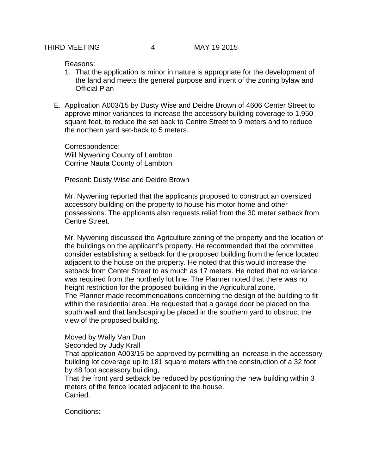Reasons:

- 1. That the application is minor in nature is appropriate for the development of the land and meets the general purpose and intent of the zoning bylaw and Official Plan
- E. Application A003/15 by Dusty Wise and Deidre Brown of 4606 Center Street to approve minor variances to increase the accessory building coverage to 1,950 square feet, to reduce the set back to Centre Street to 9 meters and to reduce the northern yard set-back to 5 meters.

Correspondence: Will Nywening County of Lambton Corrine Nauta County of Lambton

Present: Dusty Wise and Deidre Brown

Mr. Nywening reported that the applicants proposed to construct an oversized accessory building on the property to house his motor home and other possessions. The applicants also requests relief from the 30 meter setback from Centre Street.

Mr. Nywening discussed the Agriculture zoning of the property and the location of the buildings on the applicant's property. He recommended that the committee consider establishing a setback for the proposed building from the fence located adjacent to the house on the property. He noted that this would increase the setback from Center Street to as much as 17 meters. He noted that no variance was required from the northerly lot line. The Planner noted that there was no height restriction for the proposed building in the Agricultural zone. The Planner made recommendations concerning the design of the building to fit within the residential area. He requested that a garage door be placed on the south wall and that landscaping be placed in the southern yard to obstruct the view of the proposed building.

Moved by Wally Van Dun

Seconded by Judy Krall

That application A003/15 be approved by permitting an increase in the accessory building lot coverage up to 181 square meters with the construction of a 32 foot by 48 foot accessory building,

That the front yard setback be reduced by positioning the new building within 3 meters of the fence located adjacent to the house. Carried.

Conditions: